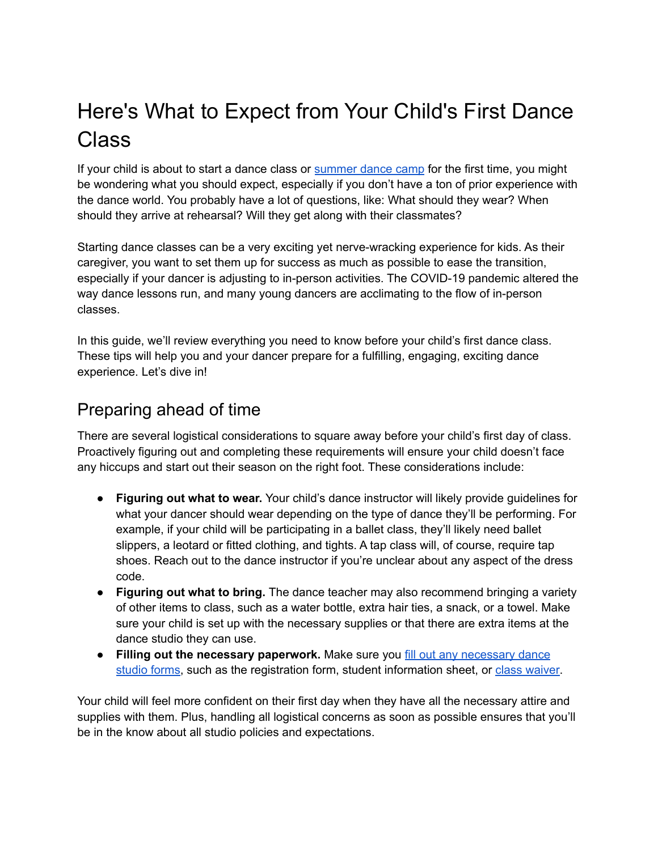# Here's What to Expect from Your Child's First Dance **Class**

If your child is about to start a dance class or [summer](https://dancewave.org/summer/) dance camp for the first time, you might be wondering what you should expect, especially if you don't have a ton of prior experience with the dance world. You probably have a lot of questions, like: What should they wear? When should they arrive at rehearsal? Will they get along with their classmates?

Starting dance classes can be a very exciting yet nerve-wracking experience for kids. As their caregiver, you want to set them up for success as much as possible to ease the transition, especially if your dancer is adjusting to in-person activities. The COVID-19 pandemic altered the way dance lessons run, and many young dancers are acclimating to the flow of in-person classes.

In this guide, we'll review everything you need to know before your child's first dance class. These tips will help you and your dancer prepare for a fulfilling, engaging, exciting dance experience. Let's dive in!

# Preparing ahead of time

There are several logistical considerations to square away before your child's first day of class. Proactively figuring out and completing these requirements will ensure your child doesn't face any hiccups and start out their season on the right foot. These considerations include:

- **Figuring out what to wear.** Your child's dance instructor will likely provide guidelines for what your dancer should wear depending on the type of dance they'll be performing. For example, if your child will be participating in a ballet class, they'll likely need ballet slippers, a leotard or fitted clothing, and tights. A tap class will, of course, require tap shoes. Reach out to the dance instructor if you're unclear about any aspect of the dress code.
- **Figuring out what to bring.** The dance teacher may also recommend bringing a variety of other items to class, such as a water bottle, extra hair ties, a snack, or a towel. Make sure your child is set up with the necessary supplies or that there are extra items at the dance studio they can use.
- **Filling out the necessary paperwork.** Make sure you fill out any [necessary](https://info.dancestudio-pro.com/dance-studio-forms/) dance [studio](https://info.dancestudio-pro.com/dance-studio-forms/) forms, such as the registration form, student information sheet, or class [waiver.](https://www.smartwaiver.com/activity-rental-waivers)

Your child will feel more confident on their first day when they have all the necessary attire and supplies with them. Plus, handling all logistical concerns as soon as possible ensures that you'll be in the know about all studio policies and expectations.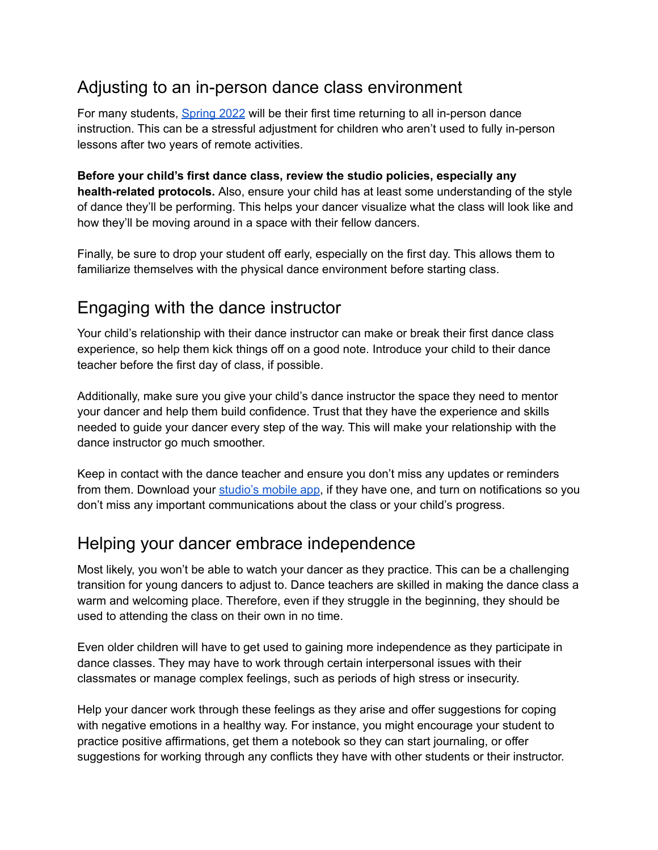# Adjusting to an in-person dance class environment

For many students, [Spring](https://dancewave.org/spring-semester-dance-classes/) 2022 will be their first time returning to all in-person dance instruction. This can be a stressful adjustment for children who aren't used to fully in-person lessons after two years of remote activities.

**Before your child's first dance class, review the studio policies, especially any health-related protocols.** Also, ensure your child has at least some understanding of the style of dance they'll be performing. This helps your dancer visualize what the class will look like and how they'll be moving around in a space with their fellow dancers.

Finally, be sure to drop your student off early, especially on the first day. This allows them to familiarize themselves with the physical dance environment before starting class.

### Engaging with the dance instructor

Your child's relationship with their dance instructor can make or break their first dance class experience, so help them kick things off on a good note. Introduce your child to their dance teacher before the first day of class, if possible.

Additionally, make sure you give your child's dance instructor the space they need to mentor your dancer and help them build confidence. Trust that they have the experience and skills needed to guide your dancer every step of the way. This will make your relationship with the dance instructor go much smoother.

Keep in contact with the dance teacher and ensure you don't miss any updates or reminders from them. Download your [studio's](https://info.dancestudio-pro.com/features/) mobile app, if they have one, and turn on notifications so you don't miss any important communications about the class or your child's progress.

### Helping your dancer embrace independence

Most likely, you won't be able to watch your dancer as they practice. This can be a challenging transition for young dancers to adjust to. Dance teachers are skilled in making the dance class a warm and welcoming place. Therefore, even if they struggle in the beginning, they should be used to attending the class on their own in no time.

Even older children will have to get used to gaining more independence as they participate in dance classes. They may have to work through certain interpersonal issues with their classmates or manage complex feelings, such as periods of high stress or insecurity.

Help your dancer work through these feelings as they arise and offer suggestions for coping with negative emotions in a healthy way. For instance, you might encourage your student to practice positive affirmations, get them a notebook so they can start journaling, or offer suggestions for working through any conflicts they have with other students or their instructor.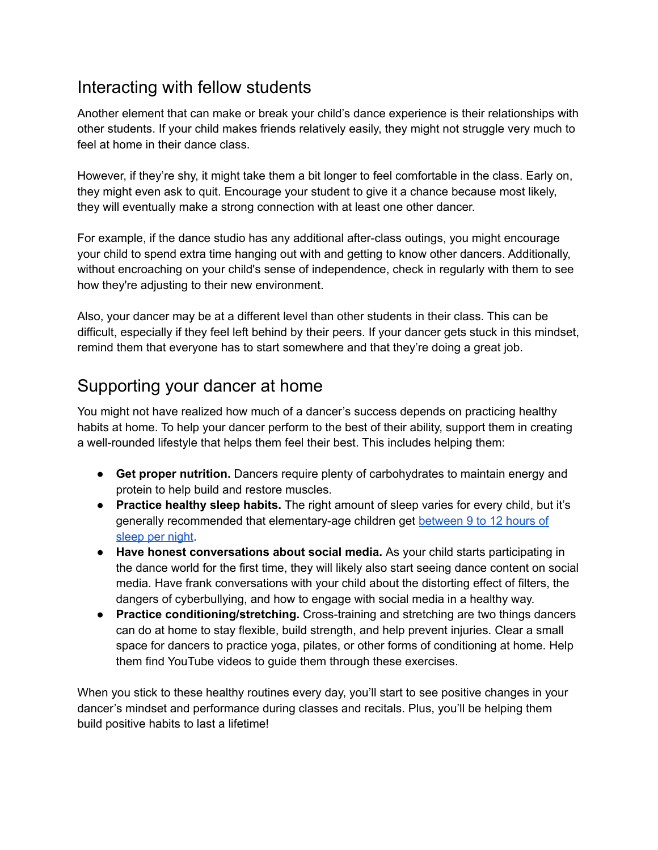### Interacting with fellow students

Another element that can make or break your child's dance experience is their relationships with other students. If your child makes friends relatively easily, they might not struggle very much to feel at home in their dance class.

However, if they're shy, it might take them a bit longer to feel comfortable in the class. Early on, they might even ask to quit. Encourage your student to give it a chance because most likely, they will eventually make a strong connection with at least one other dancer.

For example, if the dance studio has any additional after-class outings, you might encourage your child to spend extra time hanging out with and getting to know other dancers. Additionally, without encroaching on your child's sense of independence, check in regularly with them to see how they're adjusting to their new environment.

Also, your dancer may be at a different level than other students in their class. This can be difficult, especially if they feel left behind by their peers. If your dancer gets stuck in this mindset, remind them that everyone has to start somewhere and that they're doing a great job.

# Supporting your dancer at home

You might not have realized how much of a dancer's success depends on practicing healthy habits at home. To help your dancer perform to the best of their ability, support them in creating a well-rounded lifestyle that helps them feel their best. This includes helping them:

- **Get proper nutrition.** Dancers require plenty of carbohydrates to maintain energy and protein to help build and restore muscles.
- **Practice healthy sleep habits.** The right amount of sleep varies for every child, but it's generally recommended that elementary-age children get [between](https://www.cdc.gov/chronicdisease/resources/infographic/children-sleep.htm) 9 to 12 hours of [sleep](https://www.cdc.gov/chronicdisease/resources/infographic/children-sleep.htm) per night.
- **Have honest conversations about social media.** As your child starts participating in the dance world for the first time, they will likely also start seeing dance content on social media. Have frank conversations with your child about the distorting effect of filters, the dangers of cyberbullying, and how to engage with social media in a healthy way.
- **Practice conditioning/stretching.** Cross-training and stretching are two things dancers can do at home to stay flexible, build strength, and help prevent injuries. Clear a small space for dancers to practice yoga, pilates, or other forms of conditioning at home. Help them find YouTube videos to guide them through these exercises.

When you stick to these healthy routines every day, you'll start to see positive changes in your dancer's mindset and performance during classes and recitals. Plus, you'll be helping them build positive habits to last a lifetime!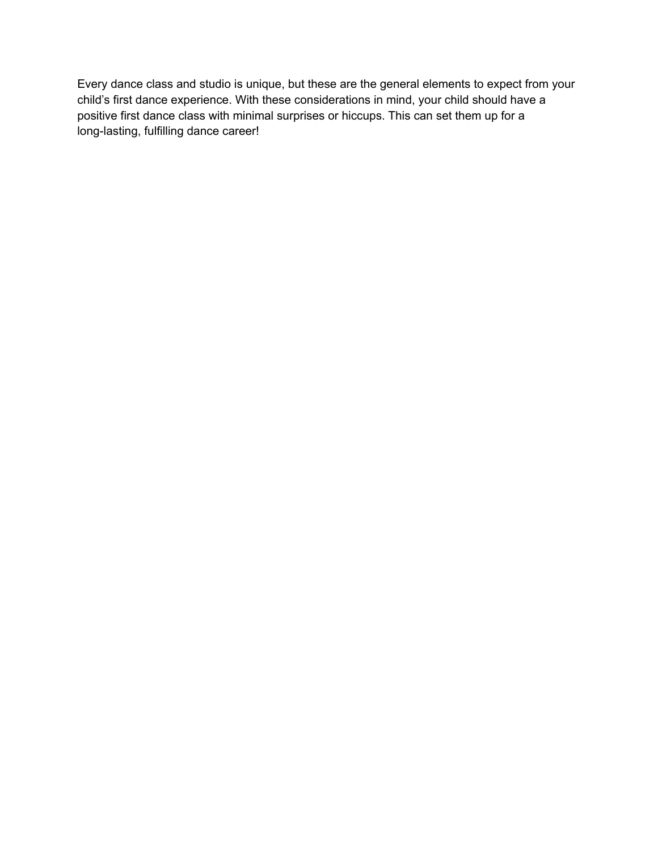Every dance class and studio is unique, but these are the general elements to expect from your child's first dance experience. With these considerations in mind, your child should have a positive first dance class with minimal surprises or hiccups. This can set them up for a long-lasting, fulfilling dance career!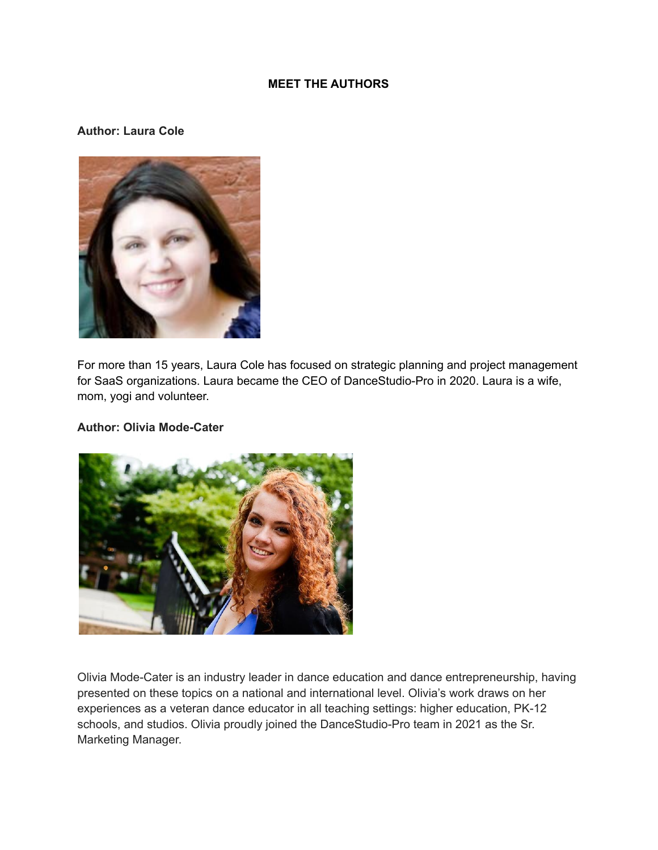#### **MEET THE AUTHORS**

#### **Author: Laura Cole**



For more than 15 years, Laura Cole has focused on strategic planning and project management for SaaS organizations. Laura became the CEO of DanceStudio-Pro in 2020. Laura is a wife, mom, yogi and volunteer.

#### **Author: Olivia Mode-Cater**



Olivia Mode-Cater is an industry leader in dance education and dance entrepreneurship, having presented on these topics on a national and international level. Olivia's work draws on her experiences as a veteran dance educator in all teaching settings: higher education, PK-12 schools, and studios. Olivia proudly joined the DanceStudio-Pro team in 2021 as the Sr. Marketing Manager.